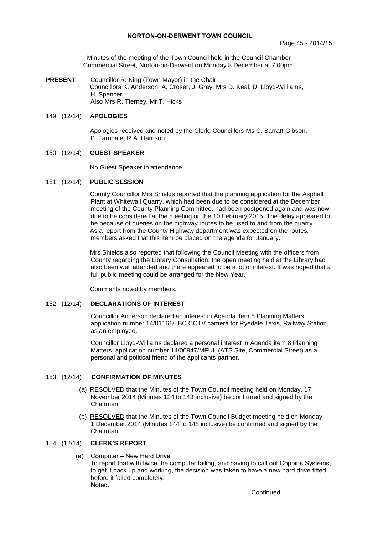Minutes of the meeting of the Town Council held in the Council Chamber Commercial Street, Norton-on-Derwent on Monday 8 December at 7.00pm.

**PRESENT** Councillor R. King (Town Mayor) in the Chair; Councillors K. Anderson, A. Croser, J. Gray, Mrs D. Keal, D. Lloyd-Williams, H. Spencer. Also Mrs R. Tierney, Mr T. Hicks

### 149. (12/14) **APOLOGIES**

 Apologies received and noted by the Clerk; Councillors Ms C. Barratt-Gibson, P. Farndale, R.A. Harrison

### 150. (12/14) **GUEST SPEAKER**

No Guest Speaker in attendance.

### 151. (12/14) **PUBLIC SESSION**

County Councillor Mrs Shields reported that the planning application for the Asphalt Plant at Whitewall Quarry, which had been due to be considered at the December meeting of the County Planning Committee, had been postponed again and was now due to be considered at the meeting on the 10 February 2015. The delay appeared to be because of queries on the highway routes to be used to and from the quarry. As a report from the County Highway department was expected on the routes, members asked that this item be placed on the agenda for January.

Mrs Shields also reported that following the Council Meeting with the officers from County regarding the Library Consultation, the open meeting held at the Library had also been well attended and there appeared to be a lot of interest. It was hoped that a full public meeting could be arranged for the New Year.

Comments noted by members.

# 152. (12/14) **DECLARATIONS OF INTEREST**

Councillor Anderson declared an interest in Agenda item 8 Planning Matters, application number 14/01161/LBC CCTV camera for Ryedale Taxis, Railway Station, as an employee.

Councillor Lloyd-Williams declared a personal interest in Agenda item 8 Planning Matters, application number 14/00947/MFUL (ATS Site, Commercial Street) as a personal and political friend of the applicants partner.

### 153. (12/14) **CONFIRMATION OF MINUTES**

- (a) RESOLVED that the Minutes of the Town Council meeting held on Monday, 17 November 2014 (Minutes 124 to 143 inclusive) be confirmed and signed by the Chairman.
- (b) RESOLVED that the Minutes of the Town Council Budget meeting held on Monday, 1 December 2014 (Minutes 144 to 148 inclusive) be confirmed and signed by the Chairman.

# 154. (12/14) **CLERK'S REPORT**

 (a) Computer – New Hard Drive To report that with twice the computer failing, and having to call out Coppins Systems, to get it back up and working, the decision was taken to have a new hard drive fitted before it failed completely. Noted.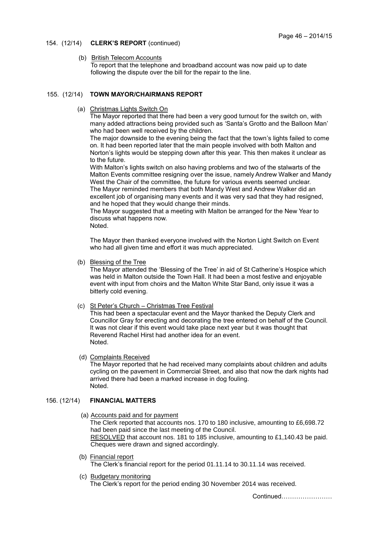### 154. (12/14) **CLERK'S REPORT** (continued)

### (b) British Telecom Accounts

To report that the telephone and broadband account was now paid up to date following the dispute over the bill for the repair to the line.

### 155. (12/14) **TOWN MAYOR/CHAIRMANS REPORT**

(a) Christmas Lights Switch On

The Mayor reported that there had been a very good turnout for the switch on, with many added attractions being provided such as 'Santa's Grotto and the Balloon Man' who had been well received by the children.

The major downside to the evening being the fact that the town's lights failed to come on. It had been reported later that the main people involved with both Malton and Norton's lights would be stepping down after this year. This then makes it unclear as to the future.

With Malton's lights switch on also having problems and two of the stalwarts of the Malton Events committee resigning over the issue, namely Andrew Walker and Mandy West the Chair of the committee, the future for various events seemed unclear. The Mayor reminded members that both Mandy West and Andrew Walker did an excellent job of organising many events and it was very sad that they had resigned, and he hoped that they would change their minds.

The Mayor suggested that a meeting with Malton be arranged for the New Year to discuss what happens now.

Noted.

The Mayor then thanked everyone involved with the Norton Light Switch on Event who had all given time and effort it was much appreciated.

(b) Blessing of the Tree

The Mayor attended the 'Blessing of the Tree' in aid of St Catherine's Hospice which was held in Malton outside the Town Hall. It had been a most festive and enjoyable event with input from choirs and the Malton White Star Band, only issue it was a bitterly cold evening.

## (c) St Peter's Church – Christmas Tree Festival

This had been a spectacular event and the Mayor thanked the Deputy Clerk and Councillor Gray for erecting and decorating the tree entered on behalf of the Council. It was not clear if this event would take place next year but it was thought that Reverend Rachel Hirst had another idea for an event. Noted.

(d) Complaints Received

The Mayor reported that he had received many complaints about children and adults cycling on the pavement in Commercial Street, and also that now the dark nights had arrived there had been a marked increase in dog fouling. Noted.

### 156. (12/14) **FINANCIAL MATTERS**

(a) Accounts paid and for payment

The Clerk reported that accounts nos. 170 to 180 inclusive, amounting to £6,698.72 had been paid since the last meeting of the Council. RESOLVED that account nos. 181 to 185 inclusive, amounting to £1,140.43 be paid. Cheques were drawn and signed accordingly.

- (b) Financial report The Clerk's financial report for the period 01.11.14 to 30.11.14 was received.
- (c) Budgetary monitoring The Clerk's report for the period ending 30 November 2014 was received.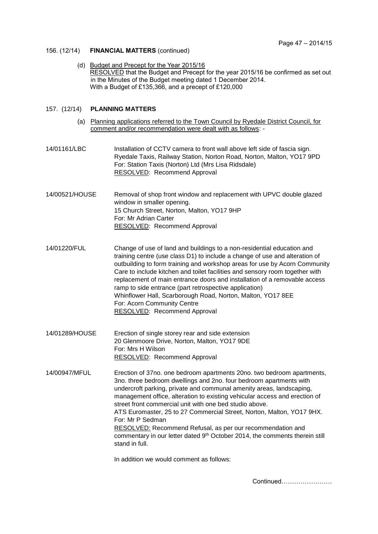### 156. (12/14) **FINANCIAL MATTERS** (continued)

 (d) Budget and Precept for the Year 2015/16 RESOLVED that the Budget and Precept for the year 2015/16 be confirmed as set out in the Minutes of the Budget meeting dated 1 December 2014. With a Budget of £135,366, and a precept of £120,000

# 157. (12/14) **PLANNING MATTERS**

- (a) Planning applications referred to the Town Council by Ryedale District Council, for comment and/or recommendation were dealt with as follows: -
- 14/01161/LBC Installation of CCTV camera to front wall above left side of fascia sign. Ryedale Taxis, Railway Station, Norton Road, Norton, Malton, YO17 9PD For: Station Taxis (Norton) Ltd (Mrs Lisa Ridsdale) RESOLVED: Recommend Approval
- 14/00521/HOUSE Removal of shop front window and replacement with UPVC double glazed window in smaller opening. 15 Church Street, Norton, Malton, YO17 9HP For: Mr Adrian Carter RESOLVED: Recommend Approval
- 14/01220/FUL Change of use of land and buildings to a non-residential education and training centre (use class D1) to include a change of use and alteration of outbuilding to form training and workshop areas for use by Acorn Community Care to include kitchen and toilet facilities and sensory room together with replacement of main entrance doors and installation of a removable access ramp to side entrance (part retrospective application) Whinflower Hall, Scarborough Road, Norton, Malton, YO17 8EE For: Acorn Community Centre RESOLVED: Recommend Approval
- 14/01289/HOUSE Erection of single storey rear and side extension 20 Glenmoore Drive, Norton, Malton, YO17 9DE For: Mrs H Wilson RESOLVED: Recommend Approval
- 14/00947/MFUL Erection of 37no. one bedroom apartments 20no. two bedroom apartments, 3no. three bedroom dwellings and 2no. four bedroom apartments with undercroft parking, private and communal amenity areas, landscaping, management office, alteration to existing vehicular access and erection of street front commercial unit with one bed studio above. ATS Euromaster, 25 to 27 Commercial Street, Norton, Malton, YO17 9HX. For: Mr P Sedman RESOLVED: Recommend Refusal, as per our recommendation and commentary in our letter dated 9<sup>th</sup> October 2014, the comments therein still stand in full.

In addition we would comment as follows: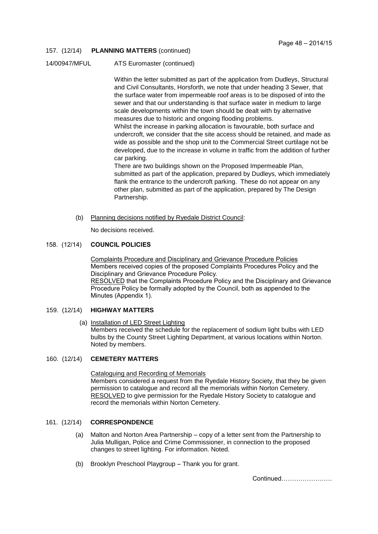### 157. (12/14) **PLANNING MATTERS** (continued)

14/00947/MFUL ATS Euromaster (continued)

Within the letter submitted as part of the application from Dudleys, Structural and Civil Consultants, Horsforth, we note that under heading 3 Sewer, that the surface water from impermeable roof areas is to be disposed of into the sewer and that our understanding is that surface water in medium to large scale developments within the town should be dealt with by alternative measures due to historic and ongoing flooding problems.

Whilst the increase in parking allocation is favourable, both surface and undercroft, we consider that the site access should be retained, and made as wide as possible and the shop unit to the Commercial Street curtilage not be developed, due to the increase in volume in traffic from the addition of further car parking.

 There are two buildings shown on the Proposed Impermeable Plan, submitted as part of the application, prepared by Dudleys, which immediately flank the entrance to the undercroft parking. These do not appear on any other plan, submitted as part of the application, prepared by The Design Partnership.

(b) Planning decisions notified by Ryedale District Council:

No decisions received.

### 158. (12/14) **COUNCIL POLICIES**

Complaints Procedure and Disciplinary and Grievance Procedure Policies Members received copies of the proposed Complaints Procedures Policy and the Disciplinary and Grievance Procedure Policy. RESOLVED that the Complaints Procedure Policy and the Disciplinary and Grievance Procedure Policy be formally adopted by the Council, both as appended to the Minutes (Appendix 1).

- 159. (12/14) **HIGHWAY MATTERS**
	- (a) Installation of LED Street Lighting

Members received the schedule for the replacement of sodium light bulbs with LED bulbs by the County Street Lighting Department, at various locations within Norton. Noted by members.

# 160. (12/14) **CEMETERY MATTERS**

Cataloguing and Recording of Memorials Members considered a request from the Ryedale History Society, that they be given permission to catalogue and record all the memorials within Norton Cemetery. RESOLVED to give permission for the Ryedale History Society to catalogue and record the memorials within Norton Cemetery.

### 161. (12/14) **CORRESPONDENCE**

- (a) Malton and Norton Area Partnership copy of a letter sent from the Partnership to Julia Mulligan, Police and Crime Commissioner, in connection to the proposed changes to street lighting. For information. Noted.
- (b) Brooklyn Preschool Playgroup Thank you for grant.